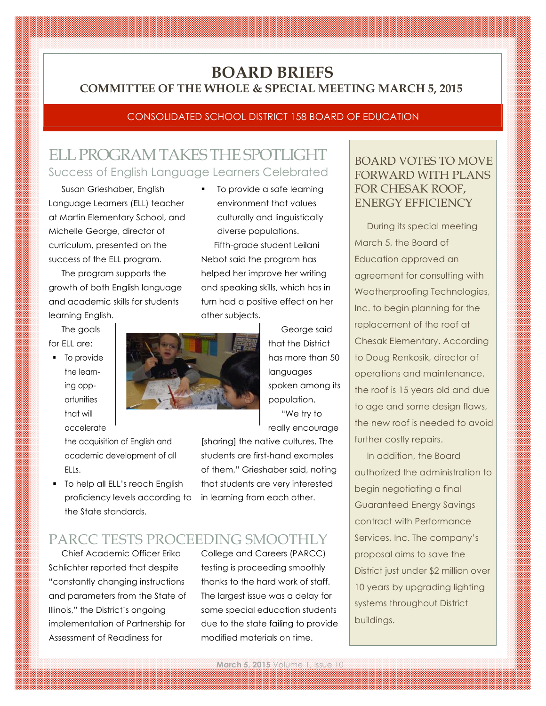## **BOARD BRIEFS COMMITTEE OF THE WHOLE & SPECIAL MEETING MARCH 5, 2015**

### CONSOLIDATED SCHOOL DISTRICT 158 BOARD OF EDUCATION

# ELL PROGRAM TAKES THE SPOTLIGHT Success of English Language Learners Celebrated

Susan Grieshaber, English Language Learners (ELL) teacher at Martin Elementary School, and Michelle George, director of curriculum, presented on the success of the ELL program.

The program supports the growth of both English language and academic skills for students learning English.

The goals for ELL are:

**•** To provide the learning opportunities that will accelerate

> the acquisition of English and academic development of all ELLs.

**To help all ELL's reach English** proficiency levels according to the State standards.

environment that values culturally and linguistically diverse populations. Fifth-grade student Leilani Nebot said the program has helped her improve her writing and speaking skills, which has in turn had a positive effect on her other subjects.

To provide a safe learning



George said that the District has more than 50 languages spoken among its population. "We try to really encourage

[sharing] the native cultures. The students are first-hand examples of them," Grieshaber said, noting that students are very interested in learning from each other.

# PARCC TESTS PROCEEDING SMOOTHLY

Chief Academic Officer Erika Schlichter reported that despite "constantly changing instructions and parameters from the State of Illinois," the District's ongoing implementation of Partnership for Assessment of Readiness for

College and Careers (PARCC) testing is proceeding smoothly thanks to the hard work of staff. The largest issue was a delay for some special education students due to the state failing to provide modified materials on time.

### BOARD VOTES TO MOVE FORWARD WITH PLANS FOR CHESAK ROOF, ENERGY EFFICIENCY

During its special meeting March 5, the Board of Education approved an agreement for consulting with Weatherproofing Technologies, Inc. to begin planning for the replacement of the roof at Chesak Elementary. According to Doug Renkosik, director of operations and maintenance, the roof is 15 years old and due to age and some design flaws, the new roof is needed to avoid further costly repairs.

In addition, the Board authorized the administration to begin negotiating a final Guaranteed Energy Savings contract with Performance Services, Inc. The company's proposal aims to save the District just under \$2 million over 10 years by upgrading lighting systems throughout District buildings.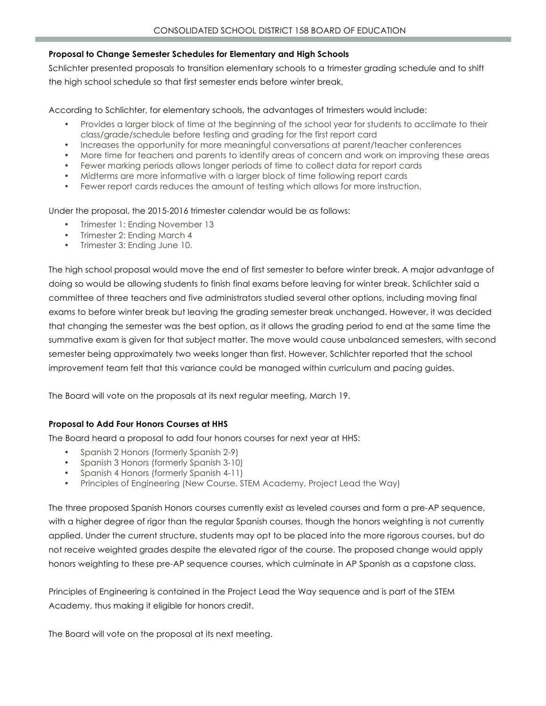#### **Proposal to Change Semester Schedules for Elementary and High Schools**

Schlichter presented proposals to transition elementary schools to a trimester grading schedule and to shift the high school schedule so that first semester ends before winter break.

According to Schlichter, for elementary schools, the advantages of trimesters would include:

- Provides a larger block of time at the beginning of the school year for students to acclimate to their class/grade/schedule before testing and grading for the first report card
- Increases the opportunity for more meaningful conversations at parent/teacher conferences
- More time for teachers and parents to identify areas of concern and work on improving these areas
- Fewer marking periods allows longer periods of time to collect data for report cards
- Midterms are more informative with a larger block of time following report cards
- Fewer report cards reduces the amount of testing which allows for more instruction.

Under the proposal, the 2015-2016 trimester calendar would be as follows:

- Trimester 1: Ending November 13
- Trimester 2: Ending March 4
- Trimester 3: Ending June 10.

The high school proposal would move the end of first semester to before winter break. A major advantage of doing so would be allowing students to finish final exams before leaving for winter break. Schlichter said a committee of three teachers and five administrators studied several other options, including moving final exams to before winter break but leaving the grading semester break unchanged. However, it was decided that changing the semester was the best option, as it allows the grading period to end at the same time the summative exam is given for that subject matter. The move would cause unbalanced semesters, with second semester being approximately two weeks longer than first. However, Schlichter reported that the school improvement team felt that this variance could be managed within curriculum and pacing guides.

The Board will vote on the proposals at its next regular meeting, March 19.

#### **Proposal to Add Four Honors Courses at HHS**

The Board heard a proposal to add four honors courses for next year at HHS:

- Spanish 2 Honors (formerly Spanish 2-9)
- Spanish 3 Honors (formerly Spanish 3-10)
- Spanish 4 Honors (formerly Spanish 4-11)
- Principles of Engineering (New Course, STEM Academy, Project Lead the Way)

The three proposed Spanish Honors courses currently exist as leveled courses and form a pre-AP sequence, with a higher degree of rigor than the regular Spanish courses, though the honors weighting is not currently applied. Under the current structure, students may opt to be placed into the more rigorous courses, but do not receive weighted grades despite the elevated rigor of the course. The proposed change would apply honors weighting to these pre-AP sequence courses, which culminate in AP Spanish as a capstone class.

Principles of Engineering is contained in the Project Lead the Way sequence and is part of the STEM Academy, thus making it eligible for honors credit.

The Board will vote on the proposal at its next meeting.